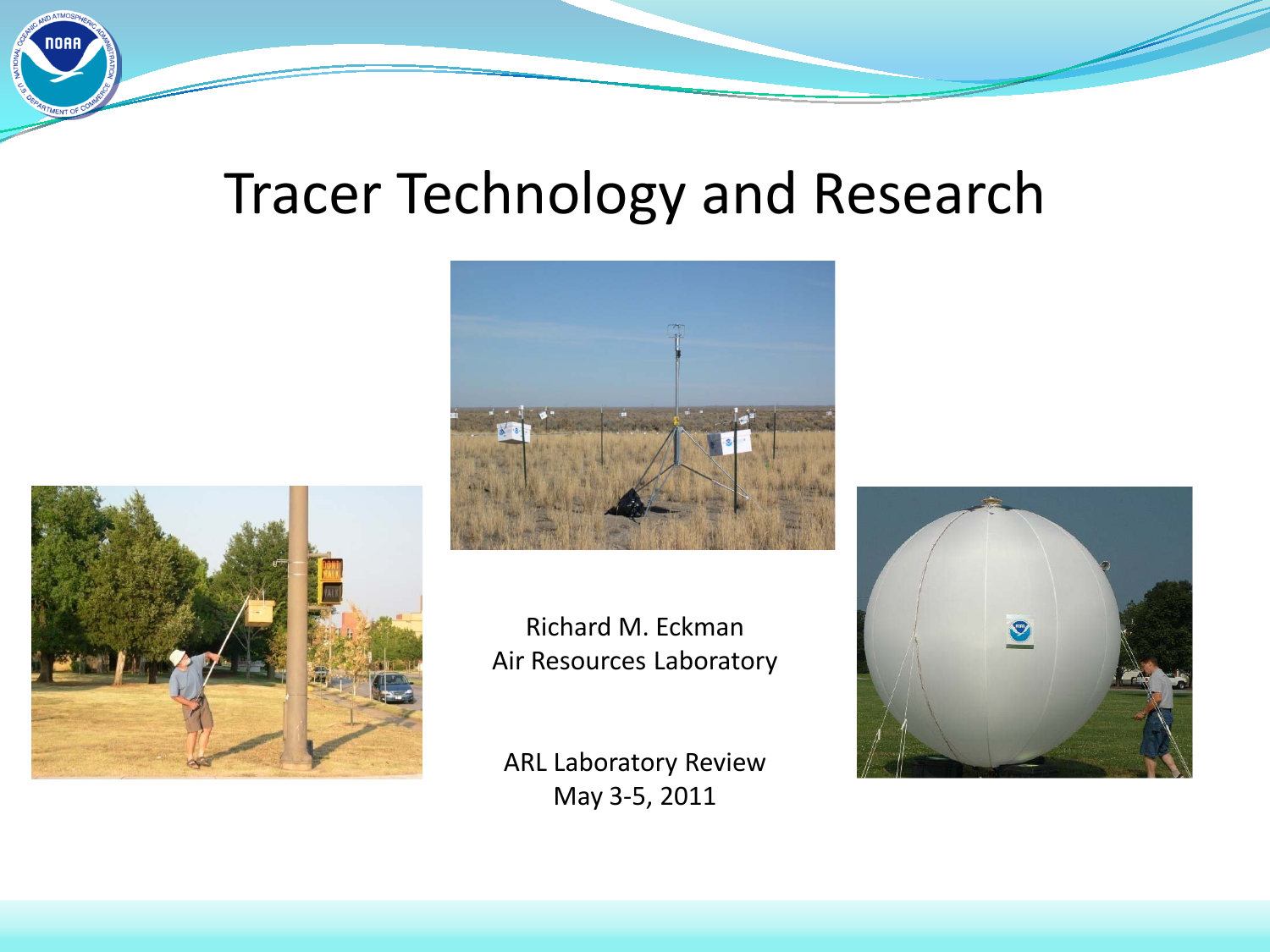## Tracer Technology and Research





Richard M. Eckman Air Resources Laboratory

ARL Laboratory Review May 3-5, 2011

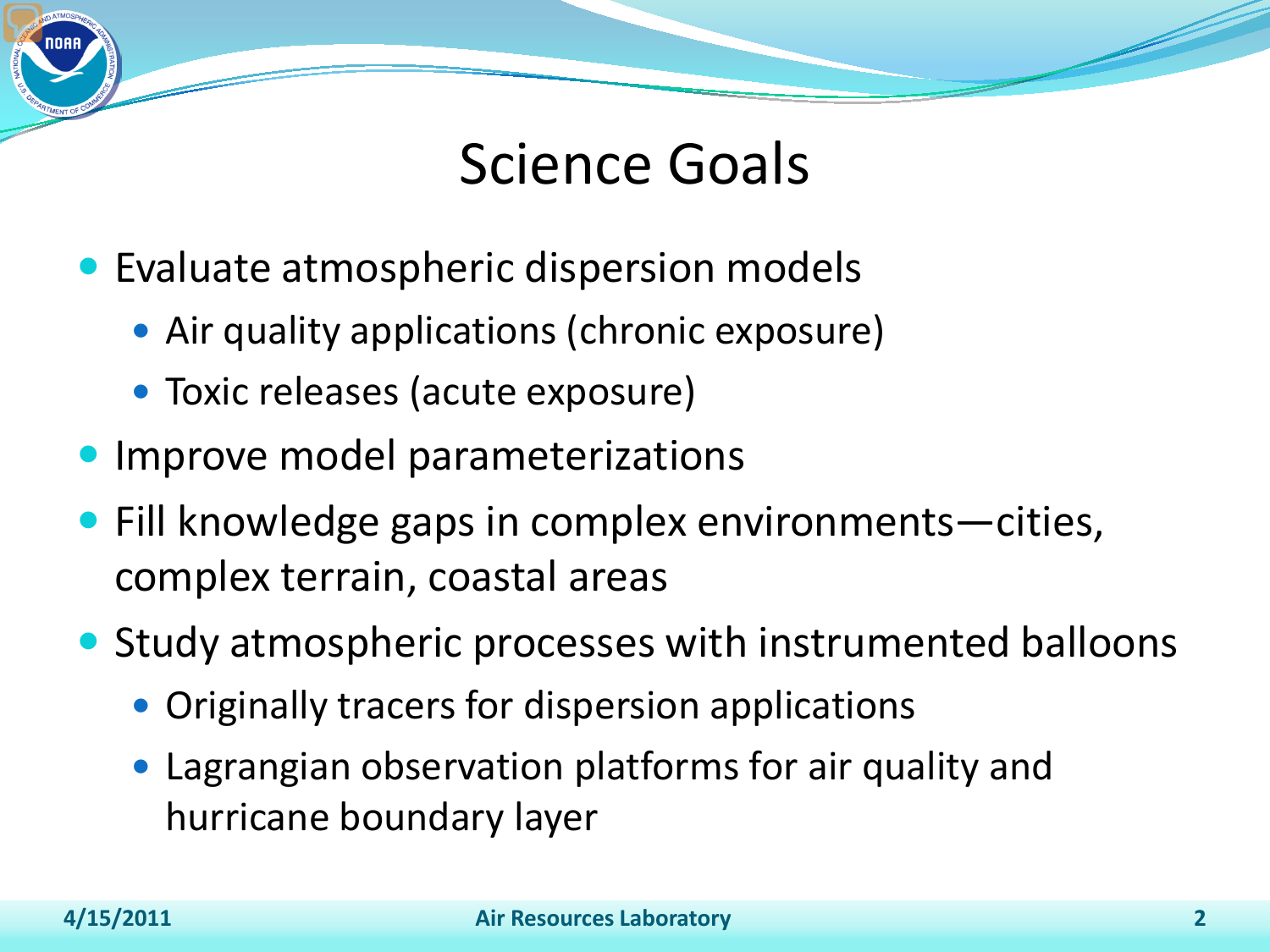

- Evaluate atmospheric dispersion models
	- Air quality applications (chronic exposure)
	- Toxic releases (acute exposure)
- Improve model parameterizations
- Fill knowledge gaps in complex environments–cities, complex terrain, coastal areas
- Study atmospheric processes with instrumented balloons
	- Originally tracers for dispersion applications
	- Lagrangian observation platforms for air quality and hurricane boundary layer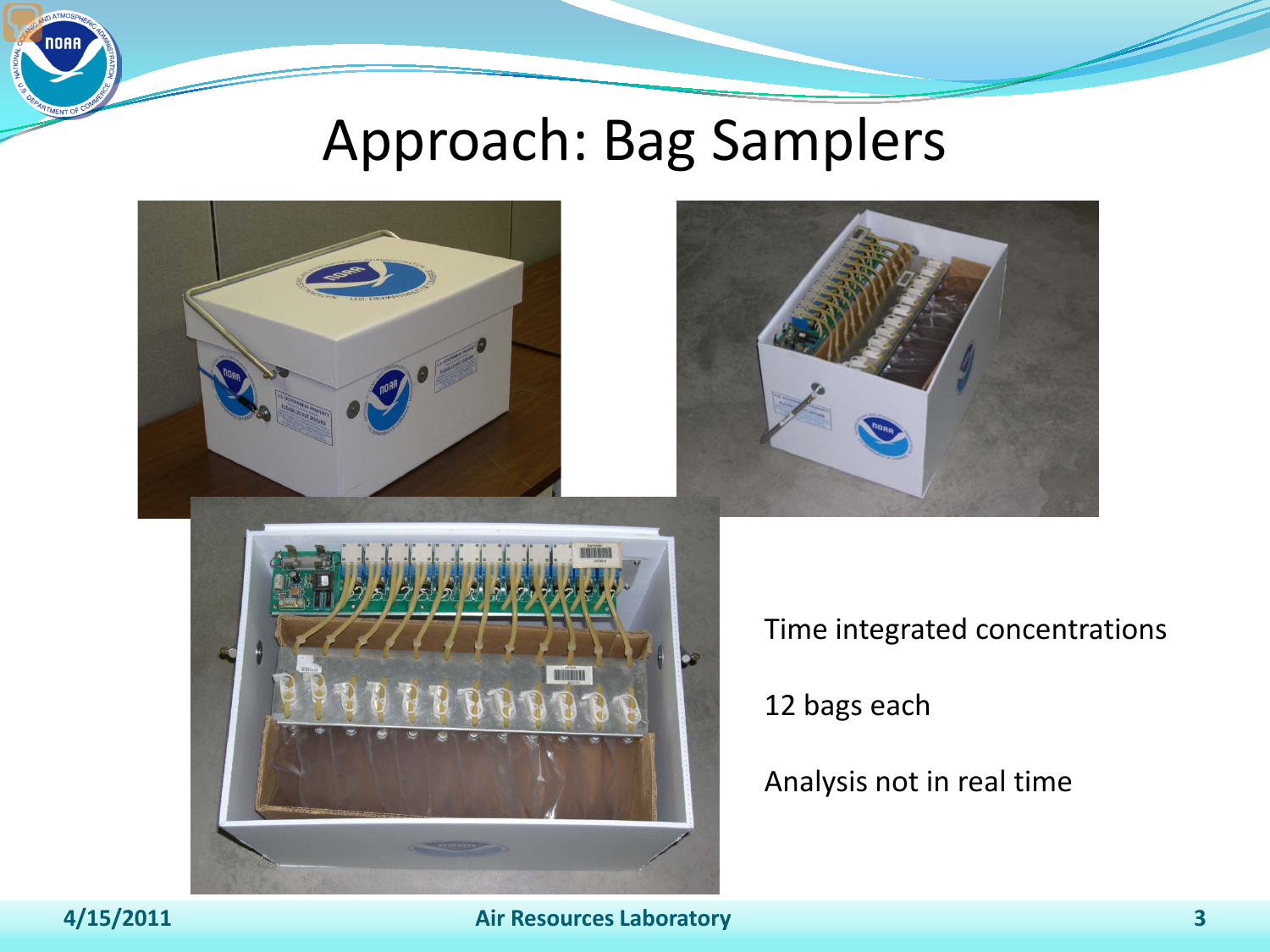### Approach: Bag Samplers



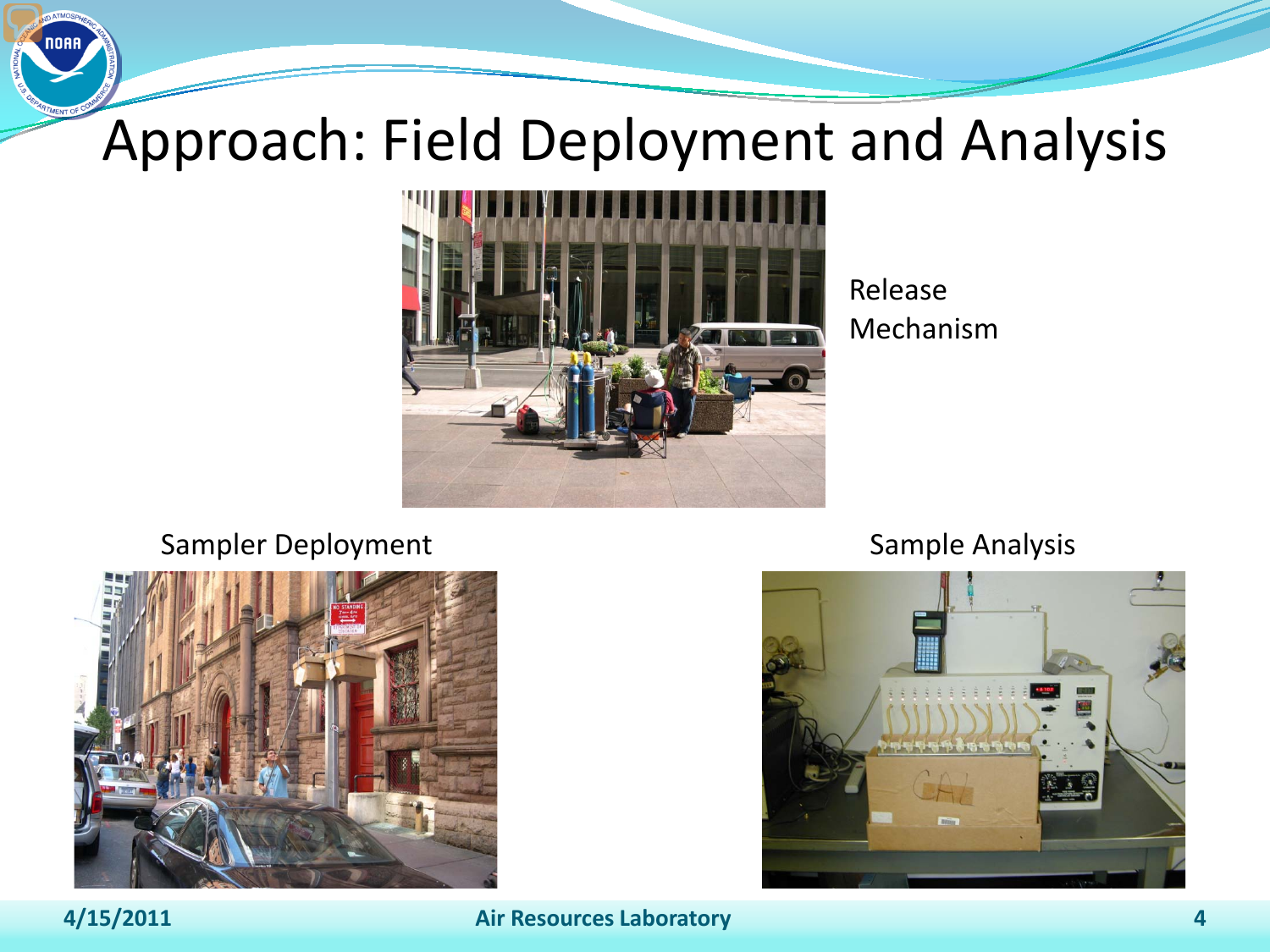# Approach: Field Deployment and Analysis



Release Mechanism

#### Sampler Deployment Sample Analysis



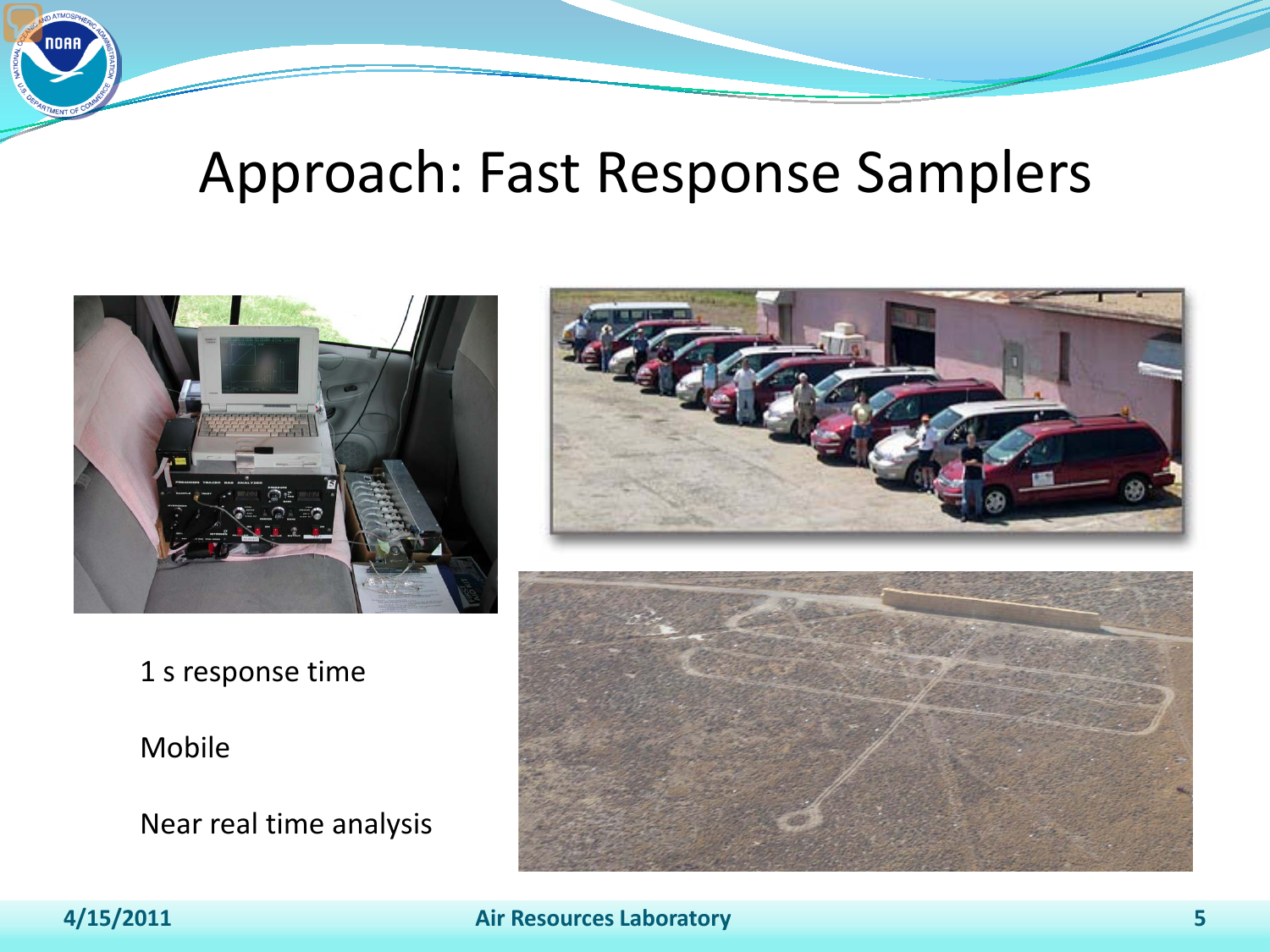### Approach: Fast Response Samplers



1 s response time

#### Mobile

Near real time analysis



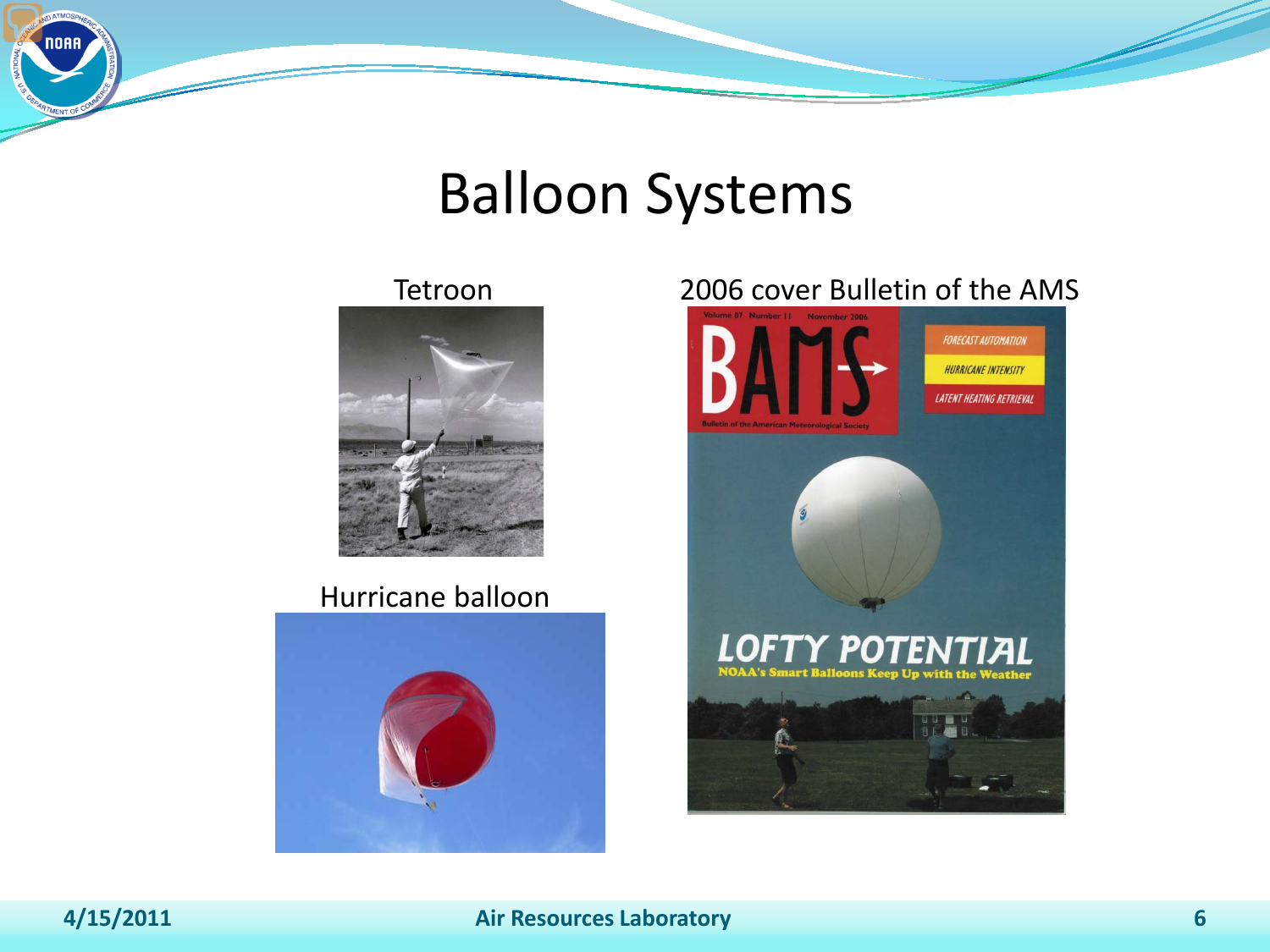### Balloon Systems

Tetroon



#### Hurricane balloon



#### 2006 cover Bulletin of the AMS

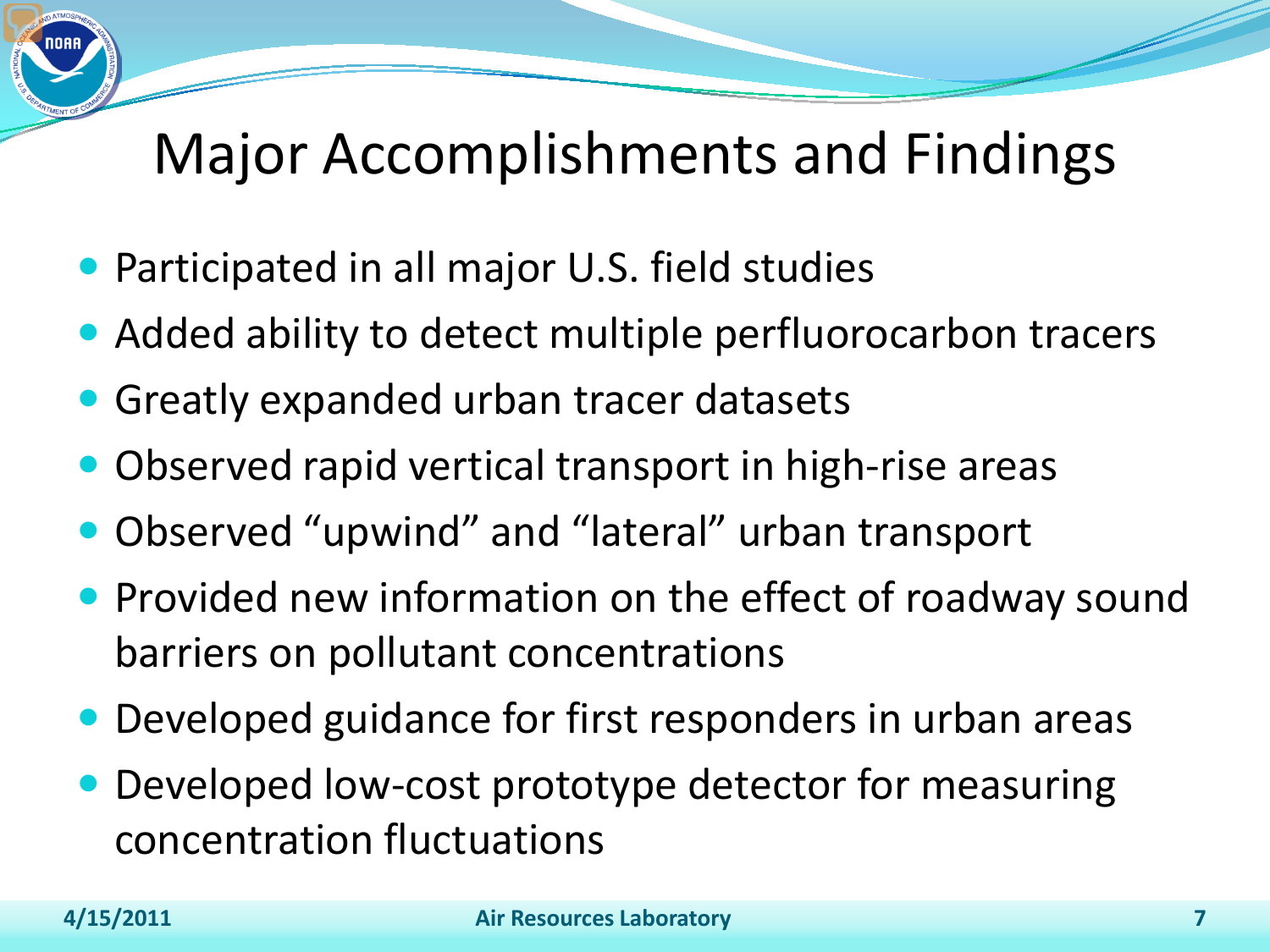# Major Accomplishments and Findings

- Participated in all major U.S. field studies
- Added ability to detect multiple perfluorocarbon tracers
- Greatly expanded urban tracer datasets
- Observed rapid vertical transport in high-rise areas
- Observed "upwind" and "lateral" urban transport
- **Provided new information on the effect of roadway sound** barriers on pollutant concentrations
- Developed guidance for first responders in urban areas
- Developed low-cost prototype detector for measuring concentration fluctuations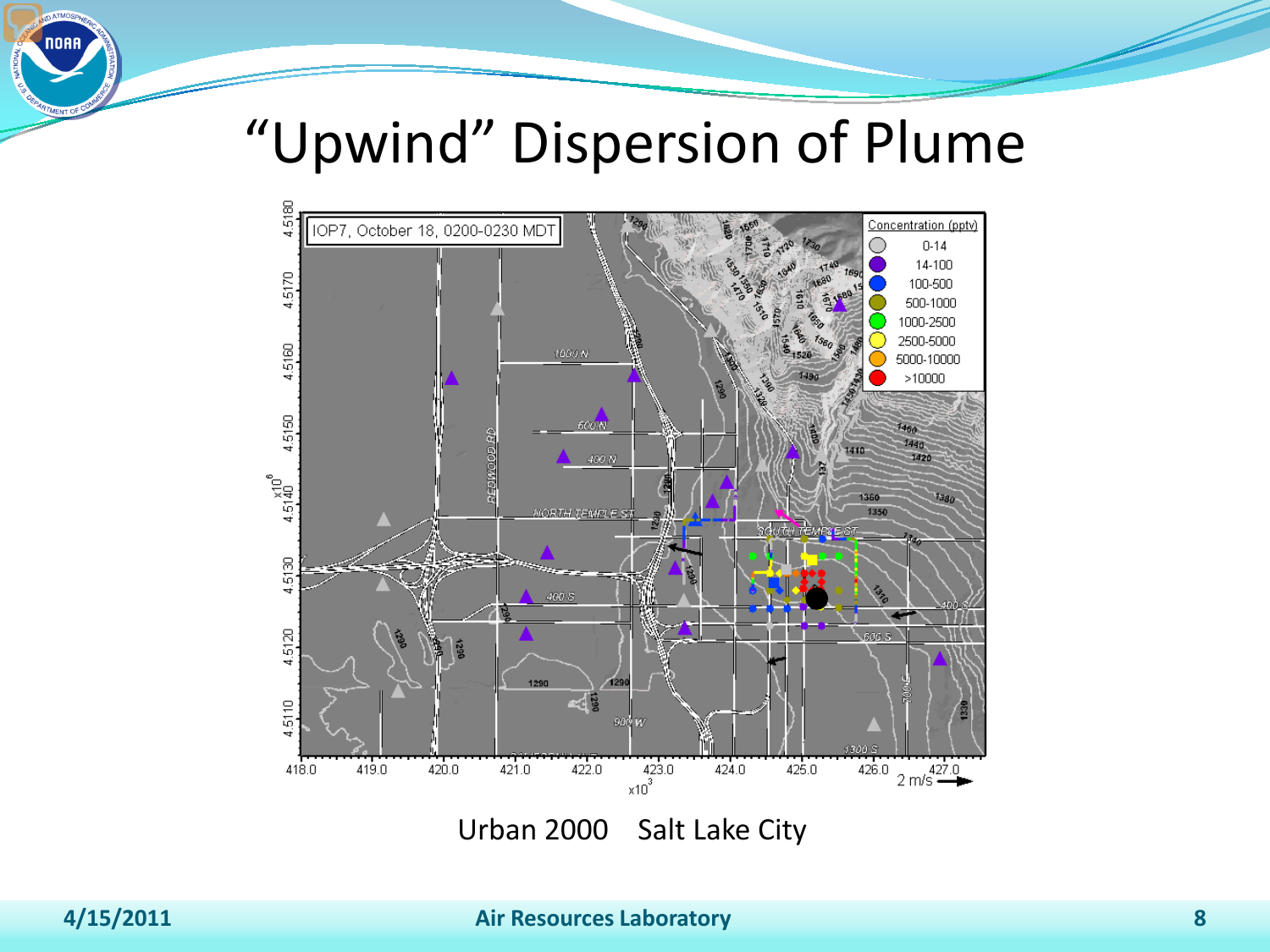## "Upwind" Dispersion of Plume

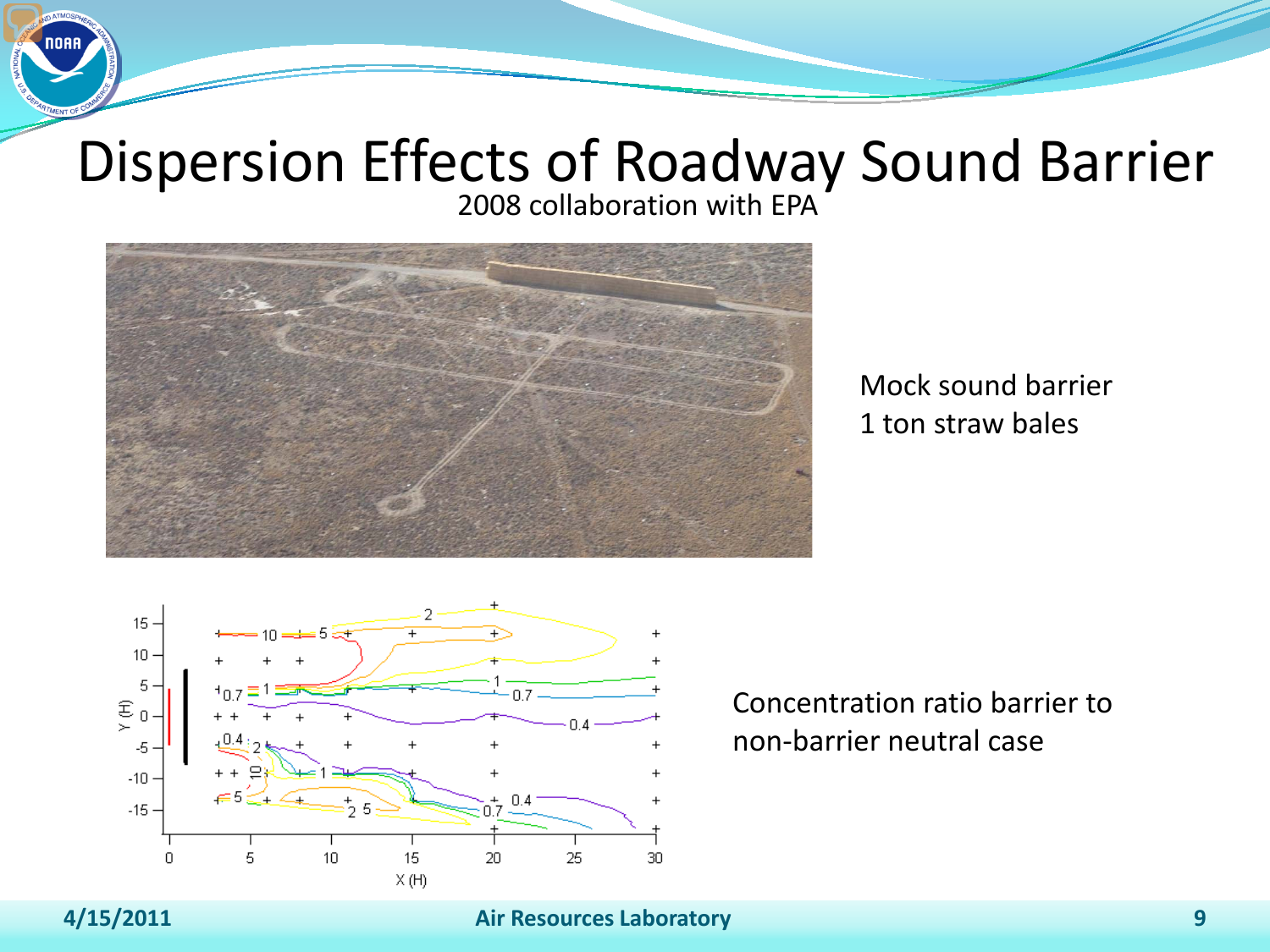### Dispersion Effects of Roadway Sound Barrier 2008 collaboration with EPA



### Mock sound barrier 1 ton straw bales



Concentration ratio barrier to non-barrier neutral case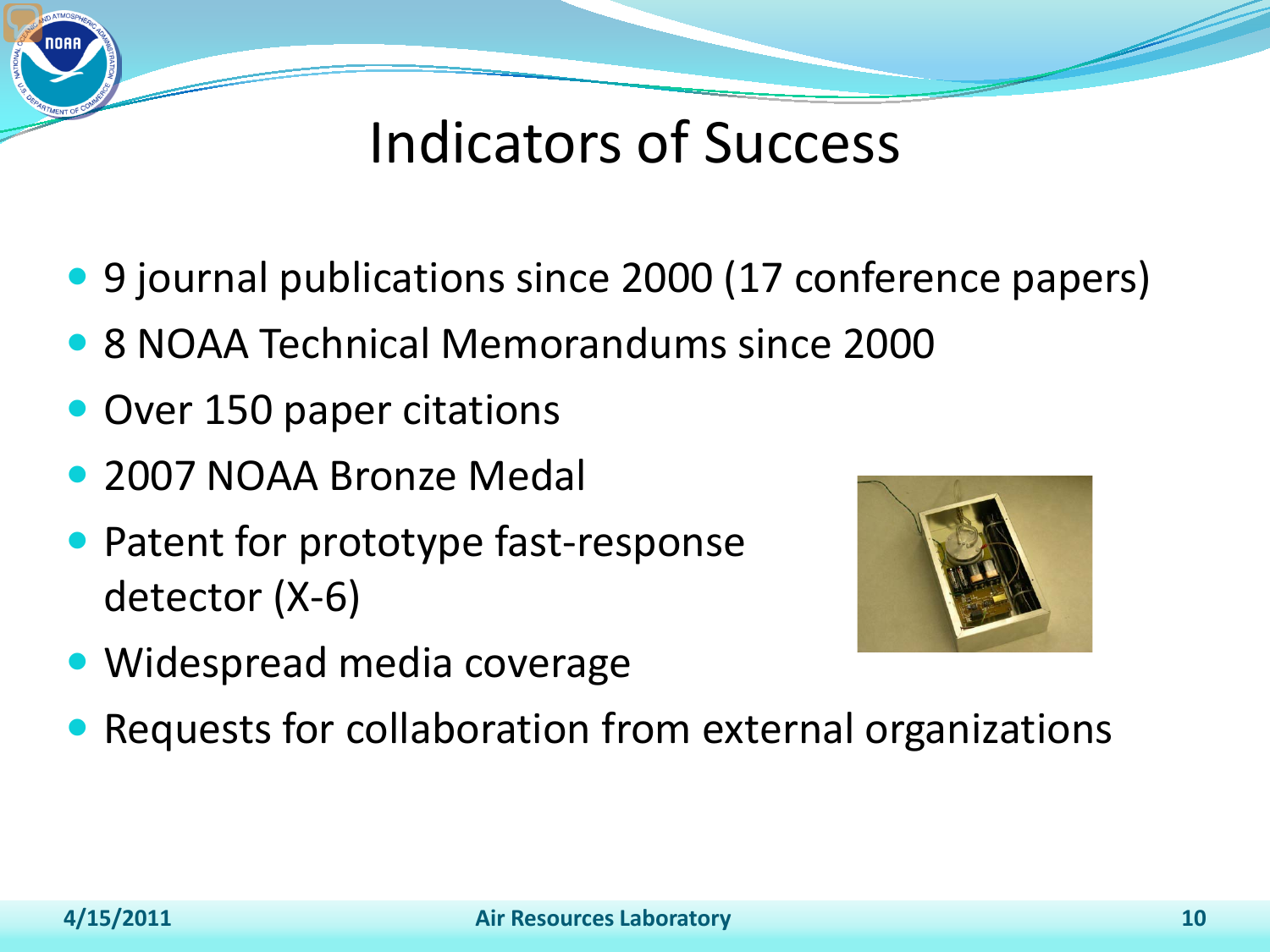# Indicators of Success

- 9 journal publications since 2000 (17 conference papers)
- 8 NOAA Technical Memorandums since 2000
- Over 150 paper citations
- 2007 NOAA Bronze Medal
- Patent for prototype fast-response detector (X-6)



- Widespread media coverage
- Requests for collaboration from external organizations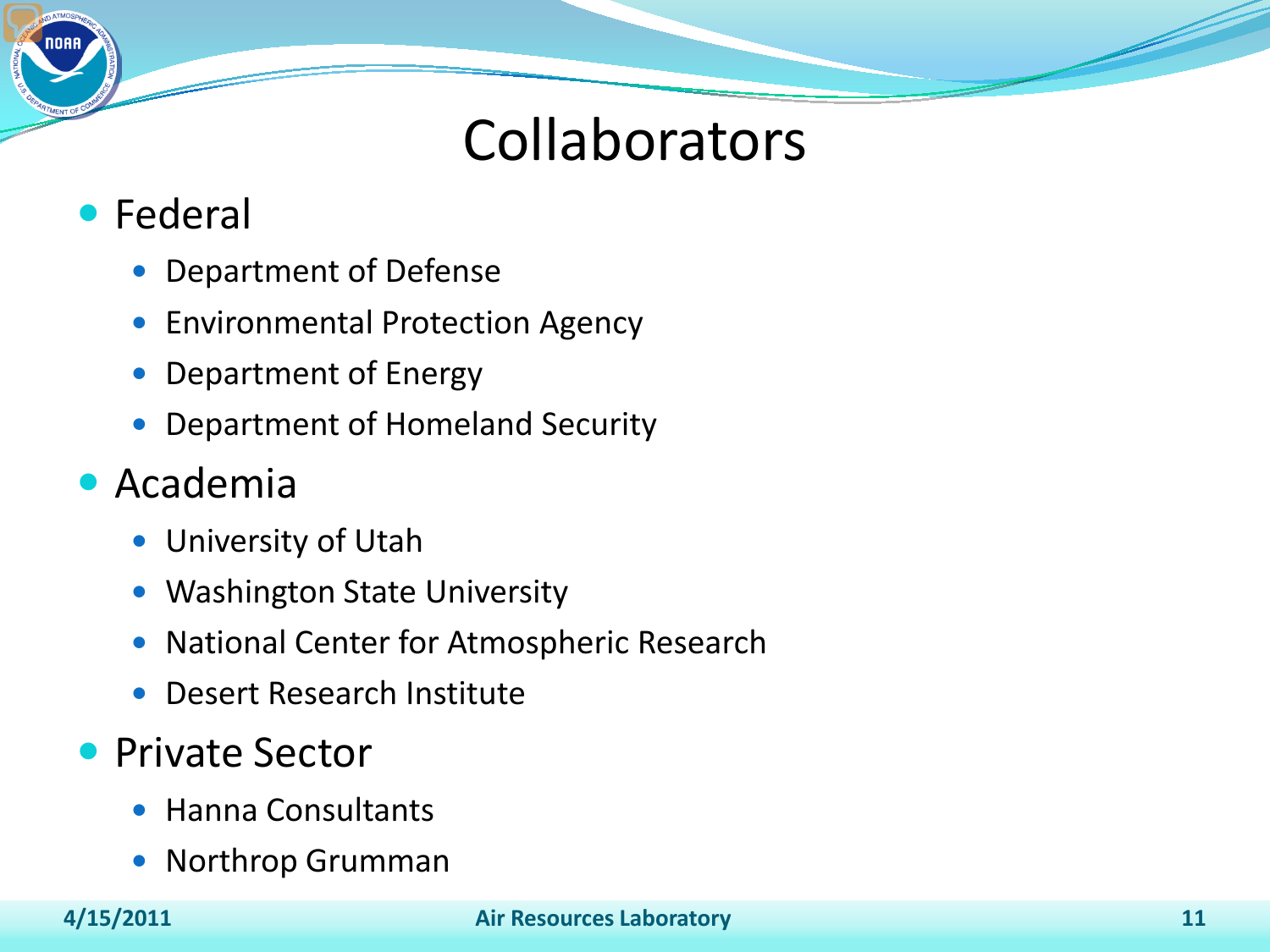### **Collaborators**

- Federal
	- Department of Defense
	- **Environmental Protection Agency**
	- Department of Energy
	- Department of Homeland Security

### Academia

- University of Utah
- Washington State University
- National Center for Atmospheric Research
- Desert Research Institute

### **• Private Sector**

- Hanna Consultants
- Northrop Grumman